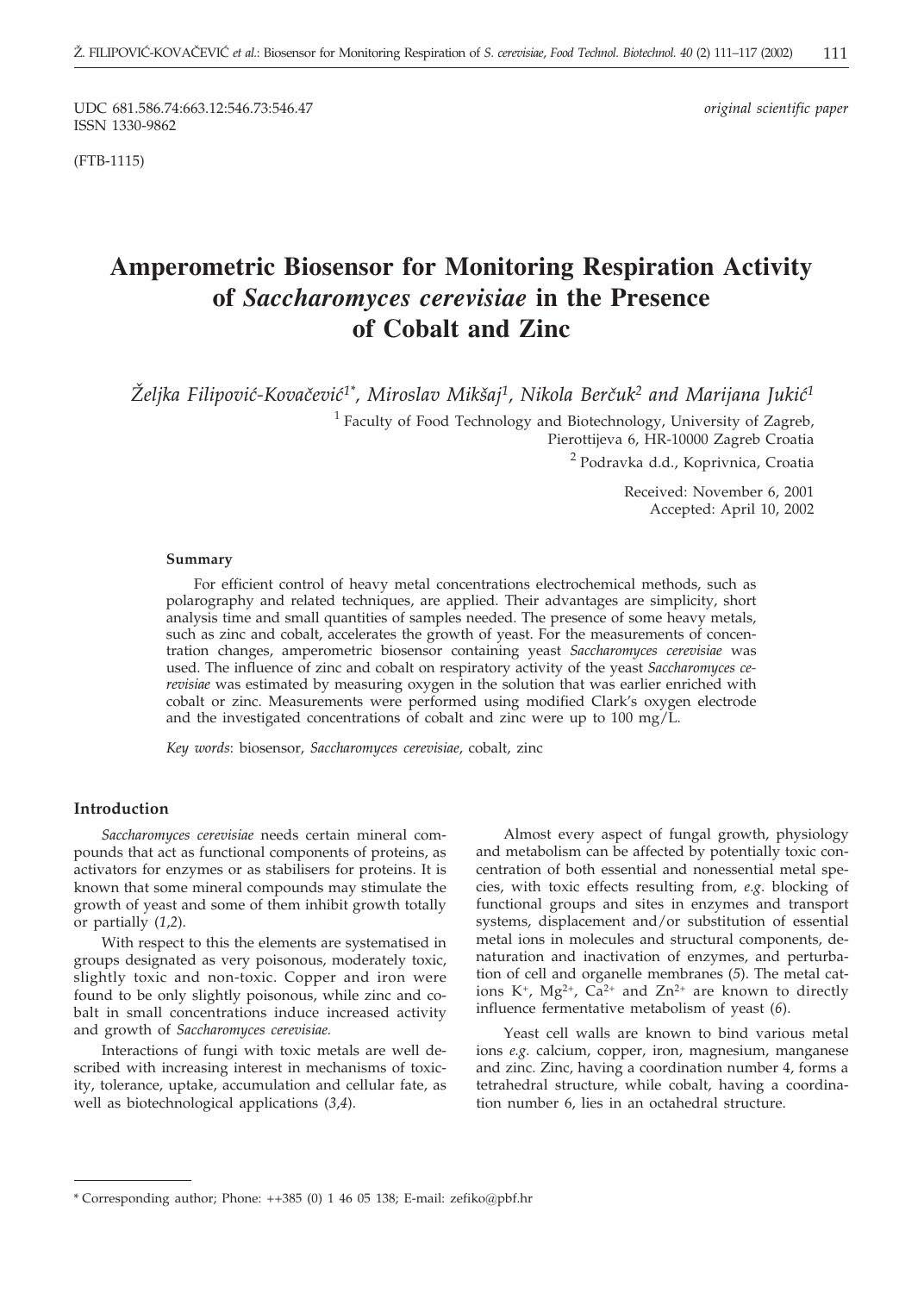UDC 681.586.74:663.12:546.73:546.47 *original scientific paper* ISSN 1330-9862

(FTB-1115)

# **Amperometric Biosensor for Monitoring Respiration Activity of** *Saccharomyces cerevisiae* **in the Presence of Cobalt and Zinc**

 $\check{Z}$ eljka Filipović-Kovačević<sup>1\*</sup>, Miroslav Mikšaj<sup>1</sup>, Nikola Berčuk<sup>2</sup> and Marijana Jukić<sup>1</sup>

 $1$  Faculty of Food Technology and Biotechnology, University of Zagreb, Pierottijeva 6, HR-10000 Zagreb Croatia <sup>2</sup> Podravka d.d., Koprivnica, Croatia

> Received: November 6, 2001 Accepted: April 10, 2002

#### **Summary**

For efficient control of heavy metal concentrations electrochemical methods, such as polarography and related techniques, are applied. Their advantages are simplicity, short analysis time and small quantities of samples needed. The presence of some heavy metals, such as zinc and cobalt, accelerates the growth of yeast. For the measurements of concentration changes, amperometric biosensor containing yeast *Saccharomyces cerevisiae* was used. The influence of zinc and cobalt on respiratory activity of the yeast *Saccharomyces cerevisiae* was estimated by measuring oxygen in the solution that was earlier enriched with cobalt or zinc. Measurements were performed using modified Clark's oxygen electrode and the investigated concentrations of cobalt and zinc were up to 100 mg/L.

*Key words*: biosensor, *Saccharomyces cerevisiae*, cobalt, zinc

## **Introduction**

*Saccharomyces cerevisiae* needs certain mineral compounds that act as functional components of proteins, as activators for enzymes or as stabilisers for proteins. It is known that some mineral compounds may stimulate the growth of yeast and some of them inhibit growth totally or partially (*1*,*2*).

With respect to this the elements are systematised in groups designated as very poisonous, moderately toxic, slightly toxic and non-toxic. Copper and iron were found to be only slightly poisonous, while zinc and cobalt in small concentrations induce increased activity and growth of *Saccharomyces cerevisiae.*

Interactions of fungi with toxic metals are well described with increasing interest in mechanisms of toxicity, tolerance, uptake, accumulation and cellular fate, as well as biotechnological applications (*3*,*4*).

Almost every aspect of fungal growth, physiology and metabolism can be affected by potentially toxic concentration of both essential and nonessential metal species, with toxic effects resulting from, *e*.*g*. blocking of functional groups and sites in enzymes and transport systems, displacement and/or substitution of essential metal ions in molecules and structural components, denaturation and inactivation of enzymes, and perturbation of cell and organelle membranes (*5*). The metal cations K<sup>+</sup>, Mg<sup>2+</sup>, Ca<sup>2+</sup> and Zn<sup>2+</sup> are known to directly influence fermentative metabolism of yeast (*6*).

Yeast cell walls are known to bind various metal ions *e.g.* calcium, copper, iron, magnesium, manganese and zinc. Zinc, having a coordination number 4, forms a tetrahedral structure, while cobalt, having a coordination number 6, lies in an octahedral structure.

<sup>\*</sup> Corresponding author; Phone: ++385 (0) 1 46 05 138; E-mail: zefiko*@*pbf.hr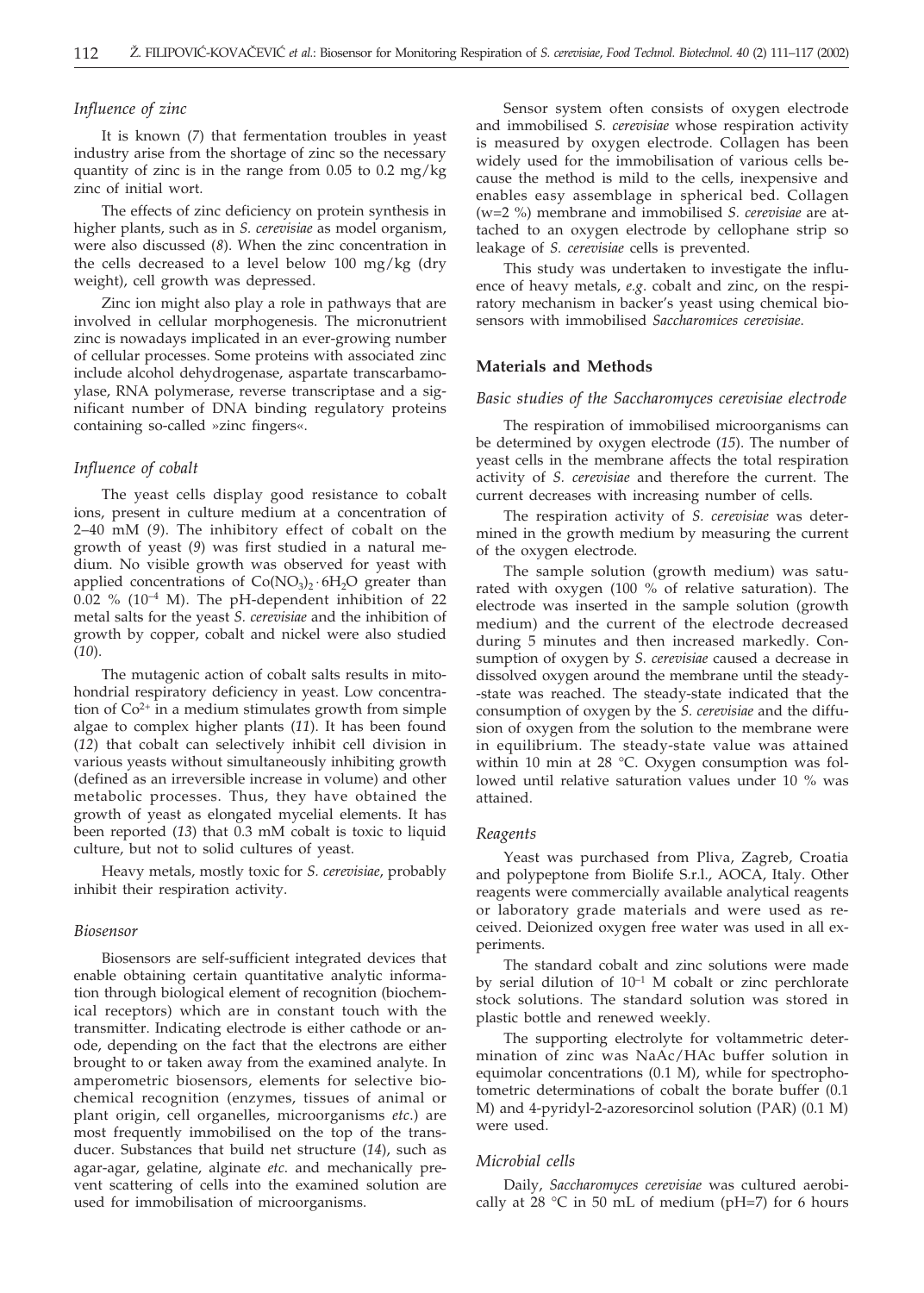# *Influence of zinc*

It is known (*7*) that fermentation troubles in yeast industry arise from the shortage of zinc so the necessary quantity of zinc is in the range from 0.05 to 0.2 mg/kg zinc of initial wort.

The effects of zinc deficiency on protein synthesis in higher plants, such as in *S. cerevisiae* as model organism, were also discussed (*8*). When the zinc concentration in the cells decreased to a level below 100 mg/kg (dry weight), cell growth was depressed.

Zinc ion might also play a role in pathways that are involved in cellular morphogenesis. The micronutrient zinc is nowadays implicated in an ever-growing number of cellular processes. Some proteins with associated zinc include alcohol dehydrogenase, aspartate transcarbamoylase, RNA polymerase, reverse transcriptase and a significant number of DNA binding regulatory proteins containing so-called »zinc fingers«.

## *Influence of cobalt*

The yeast cells display good resistance to cobalt ions, present in culture medium at a concentration of 2–40 mM (*9*). The inhibitory effect of cobalt on the growth of yeast (*9*) was first studied in a natural medium. No visible growth was observed for yeast with applied concentrations of  $Co(NO<sub>3</sub>)$ <sup>2</sup> 6H<sub>2</sub>O greater than  $0.02$  % (10<sup>-4</sup> M). The pH-dependent inhibition of 22 metal salts for the yeast *S. cerevisiae* and the inhibition of growth by copper, cobalt and nickel were also studied (*10*).

The mutagenic action of cobalt salts results in mitohondrial respiratory deficiency in yeast. Low concentration of  $Co<sup>2+</sup>$  in a medium stimulates growth from simple algae to complex higher plants (*11*). It has been found (*12*) that cobalt can selectively inhibit cell division in various yeasts without simultaneously inhibiting growth (defined as an irreversible increase in volume) and other metabolic processes. Thus, they have obtained the growth of yeast as elongated mycelial elements. It has been reported (*13*) that 0.3 mM cobalt is toxic to liquid culture, but not to solid cultures of yeast.

Heavy metals, mostly toxic for *S. cerevisiae*, probably inhibit their respiration activity.

#### *Biosensor*

Biosensors are self-sufficient integrated devices that enable obtaining certain quantitative analytic information through biological element of recognition (biochemical receptors) which are in constant touch with the transmitter. Indicating electrode is either cathode or anode, depending on the fact that the electrons are either brought to or taken away from the examined analyte. In amperometric biosensors, elements for selective biochemical recognition (enzymes, tissues of animal or plant origin, cell organelles, microorganisms *etc*.) are most frequently immobilised on the top of the transducer. Substances that build net structure (*14*), such as agar-agar, gelatine, alginate *etc*. and mechanically prevent scattering of cells into the examined solution are used for immobilisation of microorganisms.

Sensor system often consists of oxygen electrode and immobilised *S. cerevisiae* whose respiration activity is measured by oxygen electrode. Collagen has been widely used for the immobilisation of various cells because the method is mild to the cells, inexpensive and enables easy assemblage in spherical bed. Collagen (w=2 %) membrane and immobilised *S. cerevisiae* are attached to an oxygen electrode by cellophane strip so leakage of *S. cerevisiae* cells is prevented.

This study was undertaken to investigate the influence of heavy metals, *e.g*. cobalt and zinc, on the respiratory mechanism in backer's yeast using chemical biosensors with immobilised *Saccharomices cerevisiae*.

# **Materials and Methods**

## *Basic studies of the Saccharomyces cerevisiae electrode*

The respiration of immobilised microorganisms can be determined by oxygen electrode (*15*). The number of yeast cells in the membrane affects the total respiration activity of *S. cerevisiae* and therefore the current. The current decreases with increasing number of cells.

The respiration activity of *S. cerevisiae* was determined in the growth medium by measuring the current of the oxygen electrode.

The sample solution (growth medium) was saturated with oxygen (100 % of relative saturation). The electrode was inserted in the sample solution (growth medium) and the current of the electrode decreased during 5 minutes and then increased markedly. Consumption of oxygen by *S. cerevisiae* caused a decrease in dissolved oxygen around the membrane until the steady- -state was reached. The steady-state indicated that the consumption of oxygen by the *S. cerevisiae* and the diffusion of oxygen from the solution to the membrane were in equilibrium. The steady-state value was attained within 10 min at 28 °C. Oxygen consumption was followed until relative saturation values under 10 % was attained.

#### *Reagents*

Yeast was purchased from Pliva, Zagreb, Croatia and polypeptone from Biolife S.r.l., AOCA, Italy. Other reagents were commercially available analytical reagents or laboratory grade materials and were used as received. Deionized oxygen free water was used in all experiments.

The standard cobalt and zinc solutions were made by serial dilution of  $10^{-1}$  M cobalt or zinc perchlorate stock solutions. The standard solution was stored in plastic bottle and renewed weekly.

The supporting electrolyte for voltammetric determination of zinc was NaAc/HAc buffer solution in equimolar concentrations (0.1 M), while for spectrophotometric determinations of cobalt the borate buffer (0.1 M) and 4-pyridyl-2-azoresorcinol solution (PAR) (0.1 M) were used.

#### *Microbial cells*

Daily, *Saccharomyces cerevisiae* was cultured aerobically at  $28$  °C in 50 mL of medium (pH=7) for 6 hours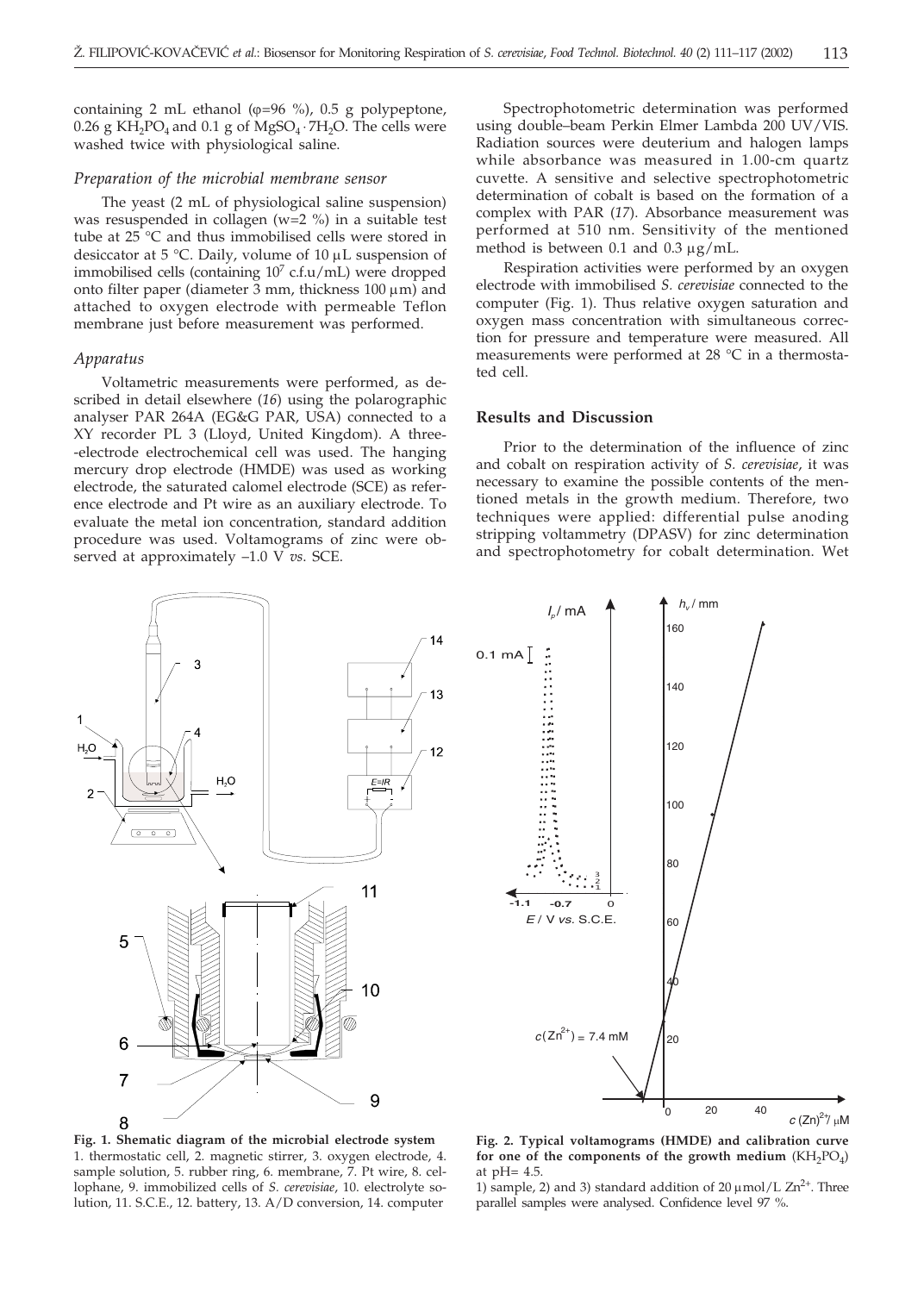containing 2 mL ethanol ( $\varphi$ =96 %), 0.5 g polypeptone, 0.26 g KH<sub>2</sub>PO<sub>4</sub> and 0.1 g of MgSO<sub>4</sub>  $·$  7H<sub>2</sub>O. The cells were washed twice with physiological saline.

#### *Preparation of the microbial membrane sensor*

The yeast (2 mL of physiological saline suspension) was resuspended in collagen (w=2 %) in a suitable test tube at 25 °C and thus immobilised cells were stored in desiccator at 5 °C. Daily, volume of 10  $\mu$ L suspension of immobilised cells (containing  $10<sup>7</sup>$  c.f.u/mL) were dropped onto filter paper (diameter 3 mm, thickness  $100 \mu m$ ) and attached to oxygen electrode with permeable Teflon membrane just before measurement was performed.

## *Apparatus*

Voltametric measurements were performed, as described in detail elsewhere (*16*) using the polarographic analyser PAR 264A (EG&G PAR, USA) connected to a XY recorder PL 3 (Lloyd, United Kingdom). A three- -electrode electrochemical cell was used. The hanging mercury drop electrode (HMDE) was used as working electrode, the saturated calomel electrode (SCE) as reference electrode and Pt wire as an auxiliary electrode. To evaluate the metal ion concentration, standard addition procedure was used. Voltamograms of zinc were observed at approximately –1.0 V *vs*. SCE.

Spectrophotometric determination was performed using double–beam Perkin Elmer Lambda 200 UV/VIS. Radiation sources were deuterium and halogen lamps while absorbance was measured in 1.00-cm quartz cuvette. A sensitive and selective spectrophotometric determination of cobalt is based on the formation of a complex with PAR (*17*). Absorbance measurement was performed at 510 nm. Sensitivity of the mentioned method is between  $0.1$  and  $0.3 \mu g/mL$ .

Respiration activities were performed by an oxygen electrode with immobilised *S. cerevisiae* connected to the computer (Fig. 1). Thus relative oxygen saturation and oxygen mass concentration with simultaneous correction for pressure and temperature were measured. All measurements were performed at 28 °C in a thermostated cell.

## **Results and Discussion**

Prior to the determination of the influence of zinc and cobalt on respiration activity of *S. cerevisiae*, it was necessary to examine the possible contents of the mentioned metals in the growth medium. Therefore, two techniques were applied: differential pulse anoding stripping voltammetry (DPASV) for zinc determination and spectrophotometry for cobalt determination. Wet





**Fig. 1. Shematic diagram of the microbial electrode system** 1. thermostatic cell, 2. magnetic stirrer, 3. oxygen electrode, 4. sample solution, 5. rubber ring, 6. membrane, 7. Pt wire, 8. cellophane, 9. immobilized cells of *S. cerevisiae*, 10. electrolyte solution, 11. S.C.E., 12. battery, 13. A/D conversion, 14. computer

**Fig. 2. Typical voltamograms (HMDE) and calibration curve** for one of the components of the growth medium  $(KH_2PO_4)$ at pH= 4.5.

1) sample, 2) and 3) standard addition of 20  $\mu$ mol/L Zn<sup>2+</sup>. Three parallel samples were analysed. Confidence level 97 %.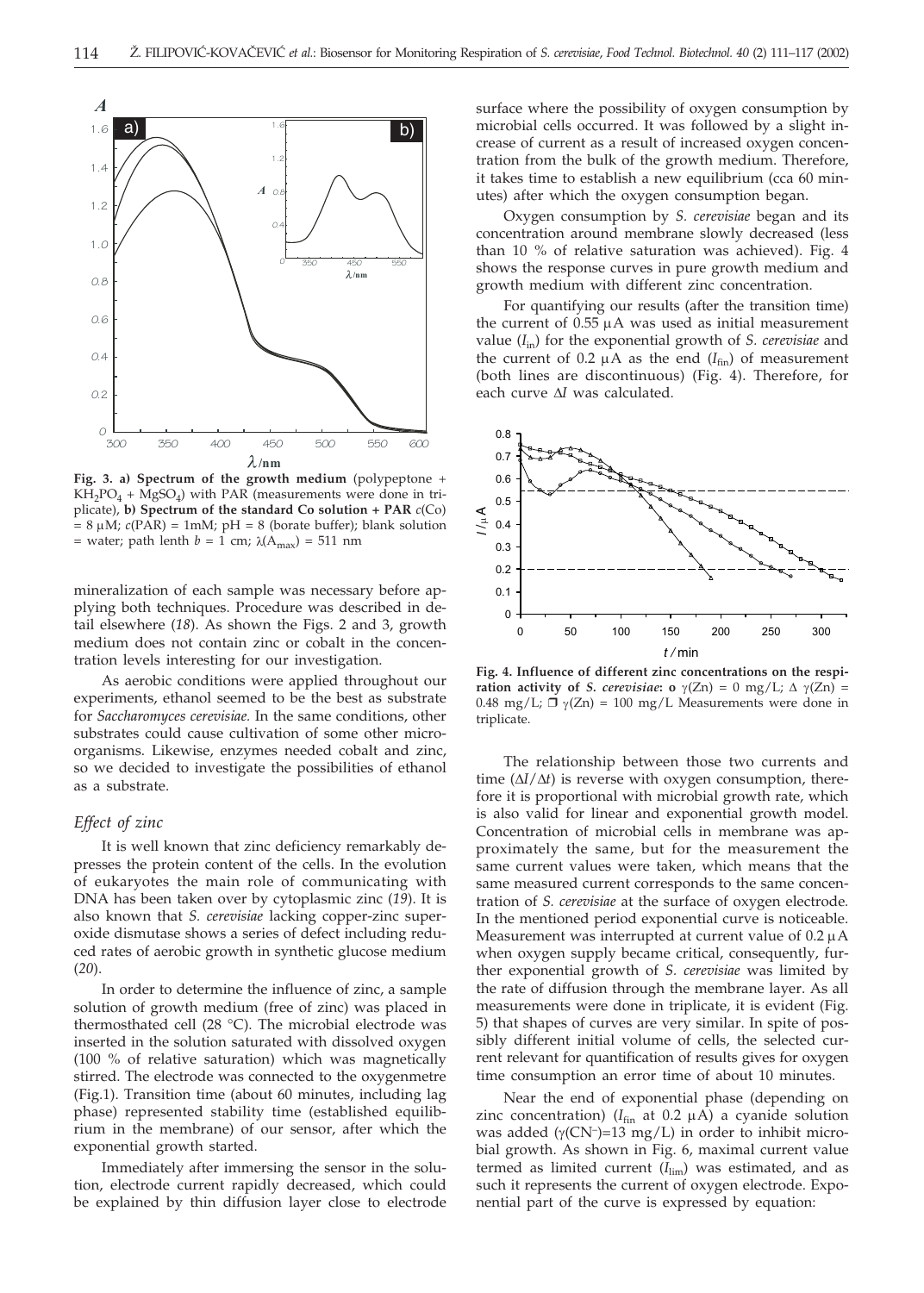

**Fig. 3. a) Spectrum of the growth medium** (polypeptone +  $KH_2PO_4 + MgSO_4$ ) with PAR (measurements were done in triplicate), **b) Spectrum of the standard Co solution + PAR** *c*(Co)  $= 8 \mu M$ ;  $c(PAR) = 1mM$ ;  $pH = 8$  (borate buffer); blank solution = water; path lenth  $b = 1$  cm;  $\lambda(A_{\text{max}}) = 511$  nm

mineralization of each sample was necessary before applying both techniques. Procedure was described in detail elsewhere (*18*). As shown the Figs. 2 and 3, growth medium does not contain zinc or cobalt in the concentration levels interesting for our investigation.

As aerobic conditions were applied throughout our experiments, ethanol seemed to be the best as substrate for *Saccharomyces cerevisiae.* In the same conditions, other substrates could cause cultivation of some other microorganisms. Likewise, enzymes needed cobalt and zinc, so we decided to investigate the possibilities of ethanol as a substrate.

# *Effect of zinc*

It is well known that zinc deficiency remarkably depresses the protein content of the cells. In the evolution of eukaryotes the main role of communicating with DNA has been taken over by cytoplasmic zinc (*19*). It is also known that *S. cerevisiae* lacking copper-zinc superoxide dismutase shows a series of defect including reduced rates of aerobic growth in synthetic glucose medium (*20*).

In order to determine the influence of zinc, a sample solution of growth medium (free of zinc) was placed in thermosthated cell (28 °C). The microbial electrode was inserted in the solution saturated with dissolved oxygen (100 % of relative saturation) which was magnetically stirred. The electrode was connected to the oxygenmetre (Fig.1). Transition time (about 60 minutes, including lag phase) represented stability time (established equilibrium in the membrane) of our sensor, after which the exponential growth started.

Immediately after immersing the sensor in the solution, electrode current rapidly decreased, which could be explained by thin diffusion layer close to electrode surface where the possibility of oxygen consumption by microbial cells occurred. It was followed by a slight increase of current as a result of increased oxygen concentration from the bulk of the growth medium. Therefore, it takes time to establish a new equilibrium (cca 60 minutes) after which the oxygen consumption began.

Oxygen consumption by *S. cerevisiae* began and its concentration around membrane slowly decreased (less than 10 % of relative saturation was achieved). Fig. 4 shows the response curves in pure growth medium and growth medium with different zinc concentration.

For quantifying our results (after the transition time) the current of  $0.55 \mu A$  was used as initial measurement value (*I*in) for the exponential growth of *S. cerevisiae* and the current of  $0.2 \mu A$  as the end  $(I_{fin})$  of measurement (both lines are discontinuous) (Fig. 4). Therefore, for each curve  $\Delta I$  was calculated.



**Fig. 4. Influence of different zinc concentrations on the respiration activity of** *S. cerevisiae***: o**  $\gamma$ (Zn) = 0 mg/L;  $\Delta$   $\gamma$ (Zn) = 0.48 mg/L;  $\Box$   $\gamma$ (Zn) = 100 mg/L Measurements were done in triplicate.

The relationship between those two currents and time  $(\Delta I/\Delta t)$  is reverse with oxygen consumption, therefore it is proportional with microbial growth rate, which is also valid for linear and exponential growth model. Concentration of microbial cells in membrane was approximately the same, but for the measurement the same current values were taken, which means that the same measured current corresponds to the same concentration of *S. cerevisiae* at the surface of oxygen electrode*.* In the mentioned period exponential curve is noticeable. Measurement was interrupted at current value of  $0.2 \mu A$ when oxygen supply became critical, consequently, further exponential growth of *S. cerevisiae* was limited by the rate of diffusion through the membrane layer. As all measurements were done in triplicate, it is evident (Fig. 5) that shapes of curves are very similar. In spite of possibly different initial volume of cells, the selected current relevant for quantification of results gives for oxygen time consumption an error time of about 10 minutes.

Near the end of exponential phase (depending on zinc concentration) ( $I_{fin}$  at 0.2  $\mu$ A) a cyanide solution was added  $(y(CN^-)=13 \text{ mg/L})$  in order to inhibit microbial growth. As shown in Fig. 6, maximal current value termed as limited current  $(I_{\text{lim}})$  was estimated, and as such it represents the current of oxygen electrode. Exponential part of the curve is expressed by equation: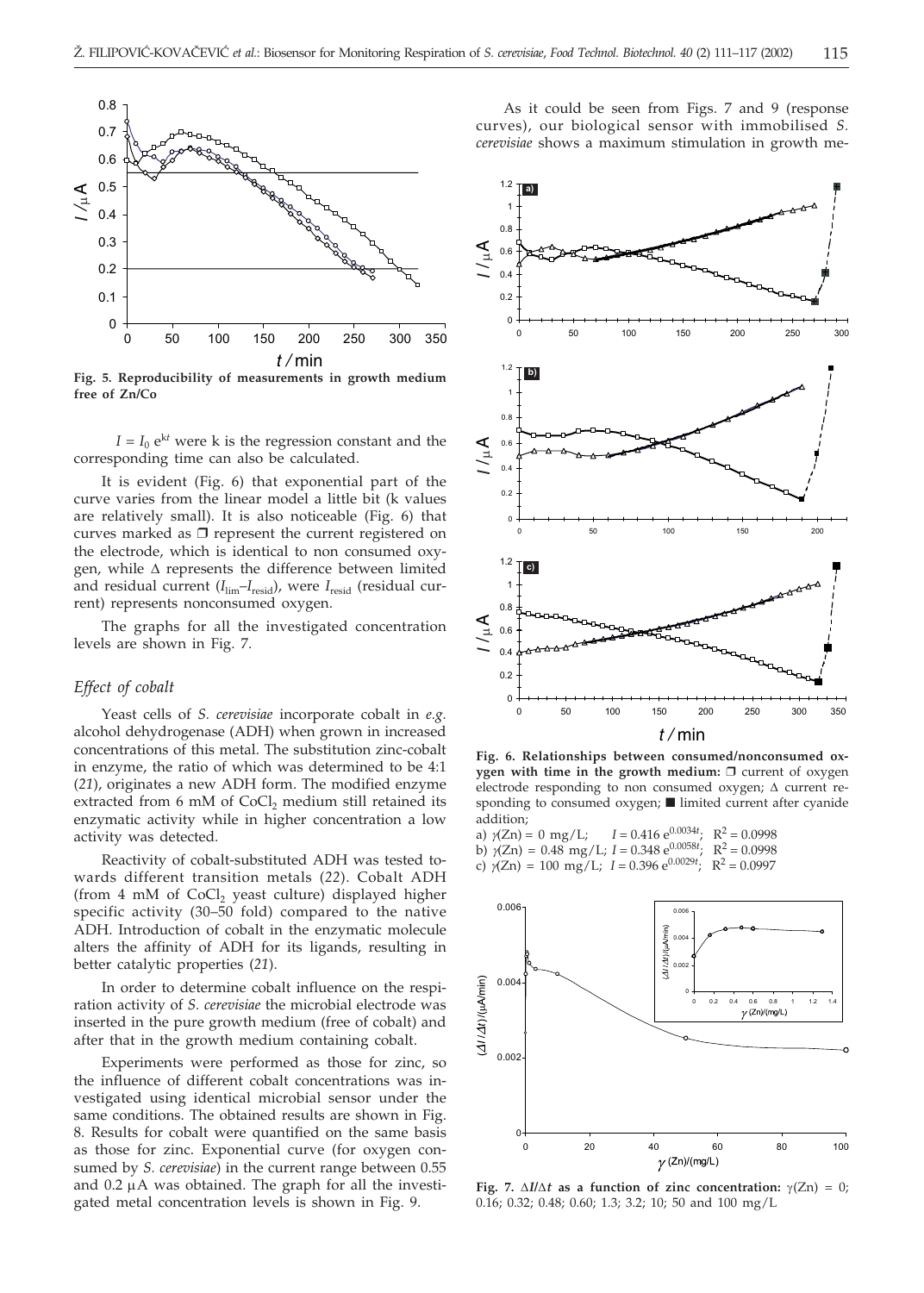

**Fig. 5. Reproducibility of measurements in growth medium free of Zn/Co**

 $I = I_0 e^{kt}$  were k is the regression constant and the corresponding time can also be calculated.

It is evident (Fig. 6) that exponential part of the curve varies from the linear model a little bit (k values are relatively small). It is also noticeable (Fig. 6) that curves marked as  $\Box$  represent the current registered on the electrode, which is identical to non consumed oxygen, while  $\Delta$  represents the difference between limited and residual current ( $I_{\text{lim}}-I_{\text{resid}}$ ), were  $I_{\text{resid}}$  (residual current) represents nonconsumed oxygen.

The graphs for all the investigated concentration levels are shown in Fig. 7.

# *Effect of cobalt*

Yeast cells of *S. cerevisiae* incorporate cobalt in *e.g.* alcohol dehydrogenase (ADH) when grown in increased concentrations of this metal. The substitution zinc-cobalt in enzyme, the ratio of which was determined to be 4:1 (*21*), originates a new ADH form. The modified enzyme extracted from 6 mM of  $CoCl<sub>2</sub>$  medium still retained its enzymatic activity while in higher concentration a low activity was detected.

Reactivity of cobalt-substituted ADH was tested towards different transition metals (*22*). Cobalt ADH (from 4 mM of CoCl<sub>2</sub> yeast culture) displayed higher specific activity (30–50 fold) compared to the native ADH. Introduction of cobalt in the enzymatic molecule alters the affinity of ADH for its ligands, resulting in better catalytic properties (*21*).

In order to determine cobalt influence on the respiration activity of *S. cerevisiae* the microbial electrode was inserted in the pure growth medium (free of cobalt) and after that in the growth medium containing cobalt.

Experiments were performed as those for zinc, so the influence of different cobalt concentrations was investigated using identical microbial sensor under the same conditions. The obtained results are shown in Fig. 8. Results for cobalt were quantified on the same basis as those for zinc. Exponential curve (for oxygen consumed by *S. cerevisiae*) in the current range between 0.55 and  $0.2 \mu A$  was obtained. The graph for all the investigated metal concentration levels is shown in Fig. 9.

As it could be seen from Figs. 7 and 9 (response curves), our biological sensor with immobilised *S. cerevisiae* shows a maximum stimulation in growth me-



**Fig. 6. Relationships between consumed/nonconsumed oxygen with time in the growth medium:**  $\Box$  current of oxygen electrode responding to non consumed oxygen;  $\Delta$  current responding to consumed oxygen; I limited current after cyanide addition;

a)  $\gamma$ (Zn) = 0 mg/L;  $I = 0.416 \text{ e}^{0.0034t}$ <br>b)  $\gamma$ (Zn) = 0.48 mg/J ·  $I = 0.348 \text{ e}^{0.0058t}$  $I = 0.416 \text{ e}^{0.0034t}$ ;  $R^2 = 0.0998$ b)  $\gamma$ (Zn) = 0.48 mg/L;  $I = 0.348 \text{ e}^{0.0058t}$ ;  $R^2 = 0.0998$ <br>c)  $\gamma$ (Zn) = 100 mg/L;  $I = 0.396 \text{ e}^{0.0029t}$ ;  $R^2 = 0.0997$ c)  $\gamma$ (Zn) = 100 mg/L; *I* = 0.396 e<sup>0.0029*t*</sup>; R<sup>2</sup> = 0.0997



**Fig. 7.**  $\Delta I/\Delta t$  as a function of zinc concentration:  $\gamma(Zn) = 0$ ; 0.16; 0.32; 0.48; 0.60; 1.3; 3.2; 10; 50 and 100 mg/L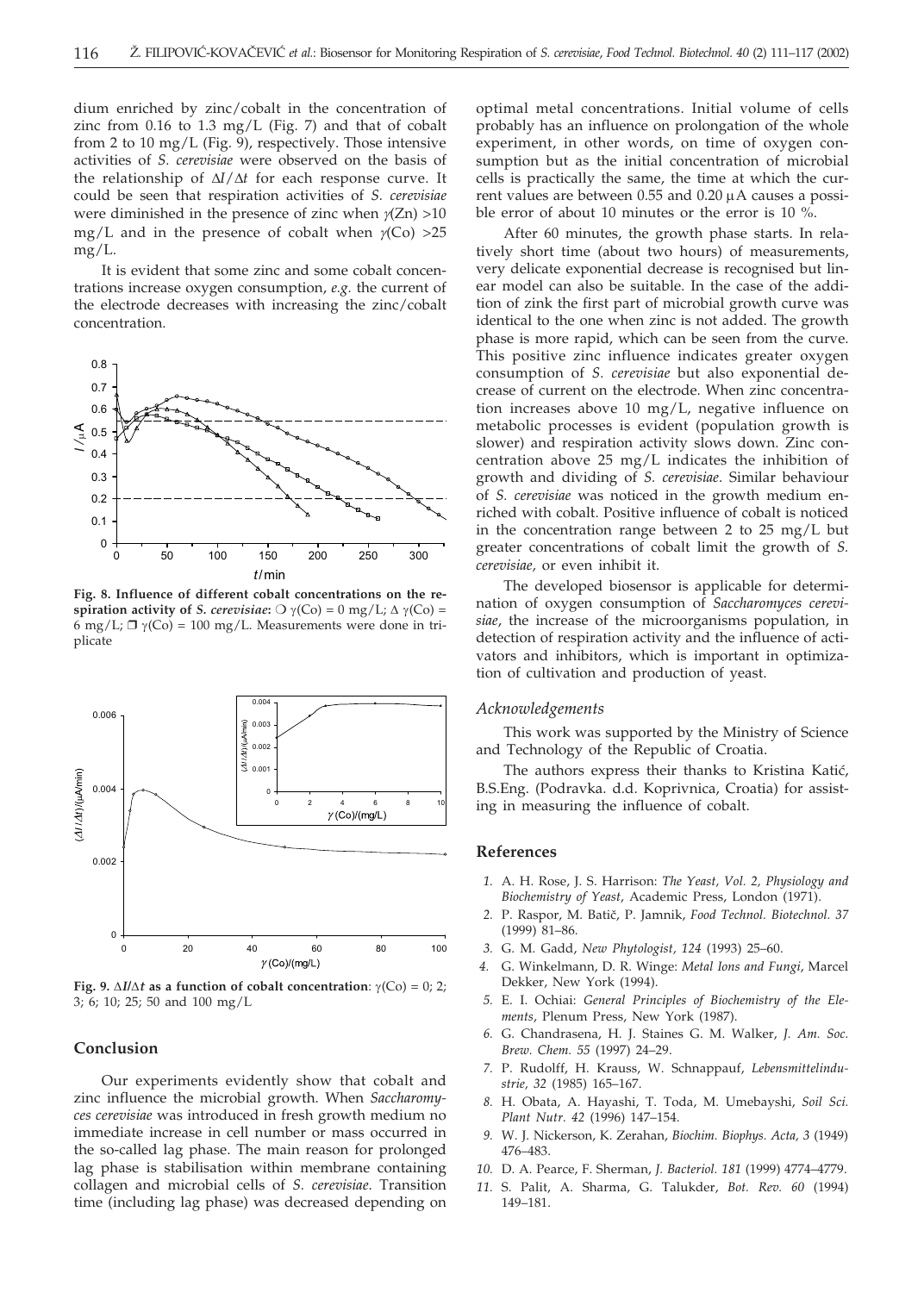dium enriched by zinc/cobalt in the concentration of zinc from 0.16 to 1.3 mg/L (Fig. 7) and that of cobalt from 2 to 10 mg/L (Fig. 9), respectively. Those intensive activities of *S. cerevisiae* were observed on the basis of the relationship of  $\Delta I/\Delta t$  for each response curve. It could be seen that respiration activities of *S. cerevisiae* were diminished in the presence of zinc when  $\gamma$ (Zn) >10 mg/L and in the presence of cobalt when  $\gamma$ (Co) >25 mg/L.

It is evident that some zinc and some cobalt concentrations increase oxygen consumption, *e.g.* the current of the electrode decreases with increasing the zinc/cobalt concentration.



**Fig. 8. Influence of different cobalt concentrations on the respiration activity of** *S. cerevisiae*:  $\bigcirc \gamma(C_0) = 0$  mg/L;  $\Delta \gamma(C_0) =$  $6 \text{ mg/L}$ ;  $\Box \gamma$ (Co) = 100 mg/L. Measurements were done in triplicate



**Fig. 9.**  $\Delta I/\Delta t$  as a function of cobalt concentration:  $\gamma$ (Co) = 0; 2; 3; 6; 10; 25; 50 and 100 mg/L

## **Conclusion**

Our experiments evidently show that cobalt and zinc influence the microbial growth. When *Saccharomyces cerevisiae* was introduced in fresh growth medium no immediate increase in cell number or mass occurred in the so-called lag phase. The main reason for prolonged lag phase is stabilisation within membrane containing collagen and microbial cells of *S. cerevisiae*. Transition time (including lag phase) was decreased depending on

optimal metal concentrations. Initial volume of cells probably has an influence on prolongation of the whole experiment, in other words, on time of oxygen consumption but as the initial concentration of microbial cells is practically the same, the time at which the current values are between 0.55 and 0.20 µA causes a possible error of about 10 minutes or the error is 10 %.

After 60 minutes, the growth phase starts. In relatively short time (about two hours) of measurements, very delicate exponential decrease is recognised but linear model can also be suitable. In the case of the addition of zink the first part of microbial growth curve was identical to the one when zinc is not added. The growth phase is more rapid, which can be seen from the curve. This positive zinc influence indicates greater oxygen consumption of *S. cerevisiae* but also exponential decrease of current on the electrode. When zinc concentration increases above 10 mg/L, negative influence on metabolic processes is evident (population growth is slower) and respiration activity slows down. Zinc concentration above 25 mg/L indicates the inhibition of growth and dividing of *S. cerevisiae*. Similar behaviour of *S. cerevisiae* was noticed in the growth medium enriched with cobalt. Positive influence of cobalt is noticed in the concentration range between 2 to 25 mg/L but greater concentrations of cobalt limit the growth of *S. cerevisiae,* or even inhibit it.

The developed biosensor is applicable for determination of oxygen consumption of *Saccharomyces cerevisiae*, the increase of the microorganisms population, in detection of respiration activity and the influence of activators and inhibitors, which is important in optimization of cultivation and production of yeast.

#### *Acknowledgements*

This work was supported by the Ministry of Science and Technology of the Republic of Croatia.

The authors express their thanks to Kristina Katić, B.S.Eng. (Podravka. d.d. Koprivnica, Croatia) for assisting in measuring the influence of cobalt.

#### **References**

- *1.* A. H. Rose, J. S. Harrison: *The Yeast, Vol. 2, Physiology and Biochemistry of Yeast*, Academic Press, London (1971).
- 2. P. Raspor, M. Batič, P. Jamnik, *Food Technol. Biotechnol. 37* (1999) 81–86.
- *3.* G. M. Gadd, *New Phytologist, 124* (1993) 25–60.
- *4.* G. Winkelmann, D. R. Winge: *Metal Ions and Fungi*, Marcel Dekker, New York (1994).
- *5.* E. I. Ochiai: *General Principles of Biochemistry of the Elements*, Plenum Press, New York (1987).
- *6.* G. Chandrasena, H. J. Staines G. M. Walker, *J. Am. Soc. Brew. Chem. 55* (1997) 24–29.
- *7.* P. Rudolff, H. Krauss, W. Schnappauf, *Lebensmittelindustrie, 32* (1985) 165–167.
- *8.* H. Obata, A. Hayashi, T. Toda, M. Umebayshi, *Soil Sci. Plant Nutr. 42* (1996) 147–154.
- *9.* W. J. Nickerson, K. Zerahan, *Biochim. Biophys. Acta, 3* (1949) 476–483.
- *10.* D. A. Pearce, F. Sherman, *J. Bacteriol. 181* (1999) 4774–4779.
- *11.* S. Palit, A. Sharma, G. Talukder, *Bot. Rev. 60* (1994) 149–181.